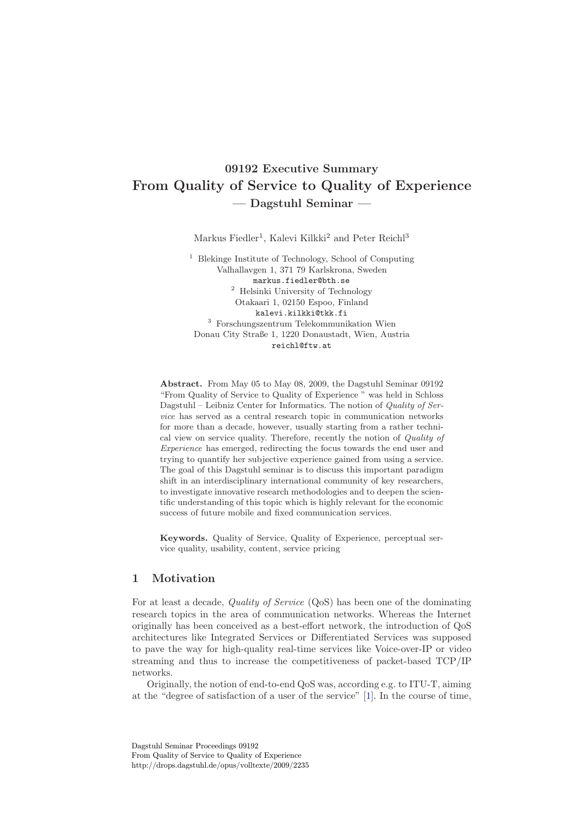# **09192 Executive Summary From Quality of Service to Quality of Experience — Dagstuhl Seminar —**

Markus Fiedler<sup>1</sup>, Kalevi Kilkki<sup>2</sup> and Peter Reichl<sup>3</sup>

<sup>1</sup> Blekinge Institute of Technology, School of Computing Valhallavgen 1, 371 79 Karlskrona, Sweden markus.fiedler@bth.se  $^2$  Helsinki University of Technology Otakaari 1, 02150 Espoo, Finland kalevi.kilkki@tkk.fi <sup>3</sup> Forschungszentrum Telekommunikation Wien Donau City Straße 1, 1220 Donaustadt, Wien, Austria reichl@ftw.at

**Abstract.** From May 05 to May 08, 2009, the Dagstuhl Seminar 09192 "From Quality of Service to Quality of Experience " was held in Schloss Dagstuhl – Leibniz Center for Informatics. The notion of *Quality of Service* has served as a central research topic in communication networks for more than a decade, however, usually starting from a rather technical view on service quality. Therefore, recently the notion of *Quality of Experience* has emerged, redirecting the focus towards the end user and trying to quantify her subjective experience gained from using a service. The goal of this Dagstuhl seminar is to discuss this important paradigm shift in an interdisciplinary international community of key researchers, to investigate innovative research methodologies and to deepen the scientific understanding of this topic which is highly relevant for the economic success of future mobile and fixed communication services.

**Keywords.** Quality of Service, Quality of Experience, perceptual service quality, usability, content, service pricing

# **1 Motivation**

For at least a decade, *Quality of Service* (QoS) has been one of the dominating research topics in the area of communication networks. Whereas the Internet originally has been conceived as a best-effort network, the introduction of QoS architectures like Integrated Services or Differentiated Services was supposed to pave the way for high-quality real-time services like Voice-over-IP or video streaming and thus to increase the competitiveness of packet-based TCP/IP networks.

Originally, the notion of end-to-end QoS was, according e.g. to ITU-T, aiming at the "degree of satisfaction of a user of the service" [\[1\]](#page-7-0). In the course of time,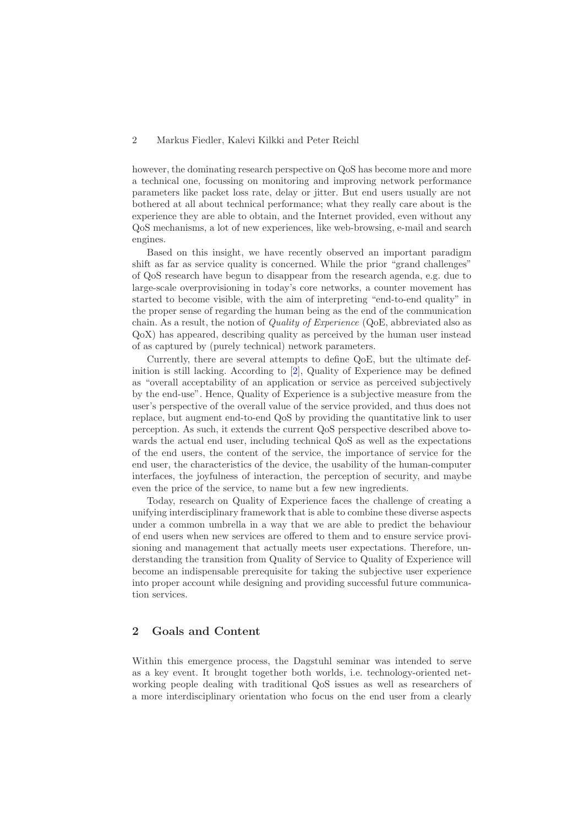#### 2 Markus Fiedler, Kalevi Kilkki and Peter Reichl

however, the dominating research perspective on QoS has become more and more a technical one, focussing on monitoring and improving network performance parameters like packet loss rate, delay or jitter. But end users usually are not bothered at all about technical performance; what they really care about is the experience they are able to obtain, and the Internet provided, even without any QoS mechanisms, a lot of new experiences, like web-browsing, e-mail and search engines.

Based on this insight, we have recently observed an important paradigm shift as far as service quality is concerned. While the prior "grand challenges" of QoS research have begun to disappear from the research agenda, e.g. due to large-scale overprovisioning in today's core networks, a counter movement has started to become visible, with the aim of interpreting "end-to-end quality" in the proper sense of regarding the human being as the end of the communication chain. As a result, the notion of *Quality of Experience* (QoE, abbreviated also as QoX) has appeared, describing quality as perceived by the human user instead of as captured by (purely technical) network parameters.

Currently, there are several attempts to define QoE, but the ultimate definition is still lacking. According to [\[2\]](#page-7-1), Quality of Experience may be defined as "overall acceptability of an application or service as perceived subjectively by the end-use". Hence, Quality of Experience is a subjective measure from the user's perspective of the overall value of the service provided, and thus does not replace, but augment end-to-end QoS by providing the quantitative link to user perception. As such, it extends the current QoS perspective described above towards the actual end user, including technical QoS as well as the expectations of the end users, the content of the service, the importance of service for the end user, the characteristics of the device, the usability of the human-computer interfaces, the joyfulness of interaction, the perception of security, and maybe even the price of the service, to name but a few new ingredients.

Today, research on Quality of Experience faces the challenge of creating a unifying interdisciplinary framework that is able to combine these diverse aspects under a common umbrella in a way that we are able to predict the behaviour of end users when new services are offered to them and to ensure service provisioning and management that actually meets user expectations. Therefore, understanding the transition from Quality of Service to Quality of Experience will become an indispensable prerequisite for taking the subjective user experience into proper account while designing and providing successful future communication services.

## **2 Goals and Content**

Within this emergence process, the Dagstuhl seminar was intended to serve as a key event. It brought together both worlds, i.e. technology-oriented networking people dealing with traditional QoS issues as well as researchers of a more interdisciplinary orientation who focus on the end user from a clearly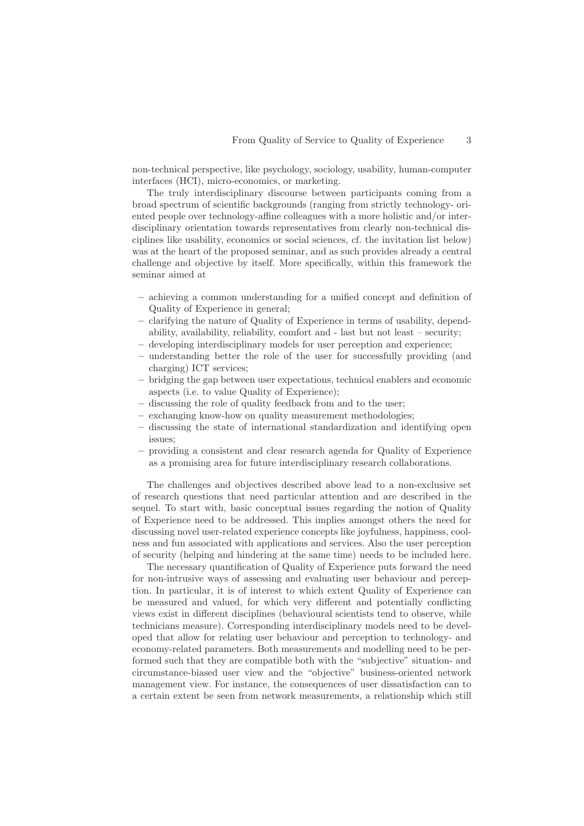non-technical perspective, like psychology, sociology, usability, human-computer interfaces (HCI), micro-economics, or marketing.

The truly interdisciplinary discourse between participants coming from a broad spectrum of scientific backgrounds (ranging from strictly technology- oriented people over technology-affine colleagues with a more holistic and/or interdisciplinary orientation towards representatives from clearly non-technical disciplines like usability, economics or social sciences, cf. the invitation list below) was at the heart of the proposed seminar, and as such provides already a central challenge and objective by itself. More specifically, within this framework the seminar aimed at

- **–** achieving a common understanding for a unified concept and definition of Quality of Experience in general;
- **–** clarifying the nature of Quality of Experience in terms of usability, dependability, availability, reliability, comfort and - last but not least – security;
- **–** developing interdisciplinary models for user perception and experience;
- **–** understanding better the role of the user for successfully providing (and charging) ICT services;
- **–** bridging the gap between user expectations, technical enablers and economic aspects (i.e. to value Quality of Experience);
- **–** discussing the role of quality feedback from and to the user;
- **–** exchanging know-how on quality measurement methodologies;
- **–** discussing the state of international standardization and identifying open issues;
- **–** providing a consistent and clear research agenda for Quality of Experience as a promising area for future interdisciplinary research collaborations.

The challenges and objectives described above lead to a non-exclusive set of research questions that need particular attention and are described in the sequel. To start with, basic conceptual issues regarding the notion of Quality of Experience need to be addressed. This implies amongst others the need for discussing novel user-related experience concepts like joyfulness, happiness, coolness and fun associated with applications and services. Also the user perception of security (helping and hindering at the same time) needs to be included here.

The necessary quantification of Quality of Experience puts forward the need for non-intrusive ways of assessing and evaluating user behaviour and perception. In particular, it is of interest to which extent Quality of Experience can be measured and valued, for which very different and potentially conflicting views exist in different disciplines (behavioural scientists tend to observe, while technicians measure). Corresponding interdisciplinary models need to be developed that allow for relating user behaviour and perception to technology- and economy-related parameters. Both measurements and modelling need to be performed such that they are compatible both with the "subjective" situation- and circumstance-biased user view and the "objective" business-oriented network management view. For instance, the consequences of user dissatisfaction can to a certain extent be seen from network measurements, a relationship which still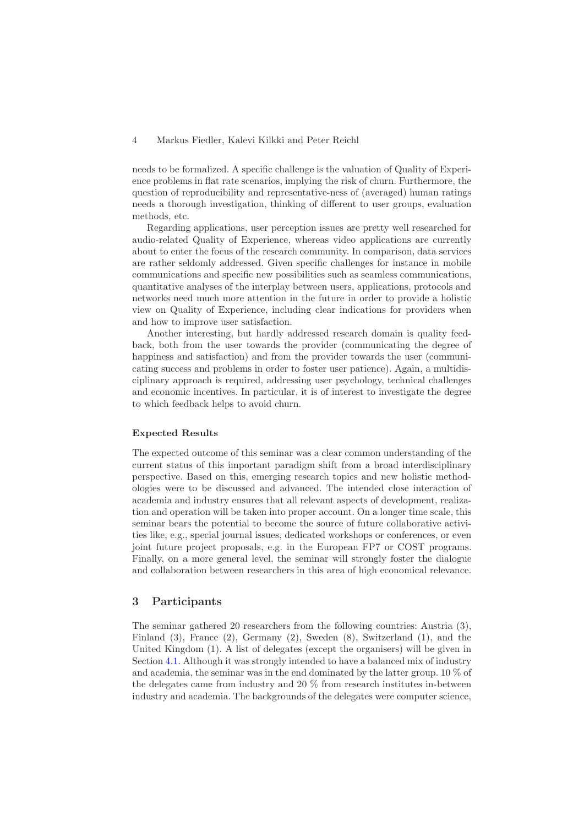#### 4 Markus Fiedler, Kalevi Kilkki and Peter Reichl

needs to be formalized. A specific challenge is the valuation of Quality of Experience problems in flat rate scenarios, implying the risk of churn. Furthermore, the question of reproducibility and representative-ness of (averaged) human ratings needs a thorough investigation, thinking of different to user groups, evaluation methods, etc.

Regarding applications, user perception issues are pretty well researched for audio-related Quality of Experience, whereas video applications are currently about to enter the focus of the research community. In comparison, data services are rather seldomly addressed. Given specific challenges for instance in mobile communications and specific new possibilities such as seamless communications, quantitative analyses of the interplay between users, applications, protocols and networks need much more attention in the future in order to provide a holistic view on Quality of Experience, including clear indications for providers when and how to improve user satisfaction.

Another interesting, but hardly addressed research domain is quality feedback, both from the user towards the provider (communicating the degree of happiness and satisfaction) and from the provider towards the user (communicating success and problems in order to foster user patience). Again, a multidisciplinary approach is required, addressing user psychology, technical challenges and economic incentives. In particular, it is of interest to investigate the degree to which feedback helps to avoid churn.

#### **Expected Results**

The expected outcome of this seminar was a clear common understanding of the current status of this important paradigm shift from a broad interdisciplinary perspective. Based on this, emerging research topics and new holistic methodologies were to be discussed and advanced. The intended close interaction of academia and industry ensures that all relevant aspects of development, realization and operation will be taken into proper account. On a longer time scale, this seminar bears the potential to become the source of future collaborative activities like, e.g., special journal issues, dedicated workshops or conferences, or even joint future project proposals, e.g. in the European FP7 or COST programs. Finally, on a more general level, the seminar will strongly foster the dialogue and collaboration between researchers in this area of high economical relevance.

## **3 Participants**

The seminar gathered 20 researchers from the following countries: Austria (3), Finland (3), France (2), Germany (2), Sweden (8), Switzerland (1), and the United Kingdom (1). A list of delegates (except the organisers) will be given in Section [4.1.](#page-4-0) Although it was strongly intended to have a balanced mix of industry and academia, the seminar was in the end dominated by the latter group. 10 % of the delegates came from industry and 20 % from research institutes in-between industry and academia. The backgrounds of the delegates were computer science,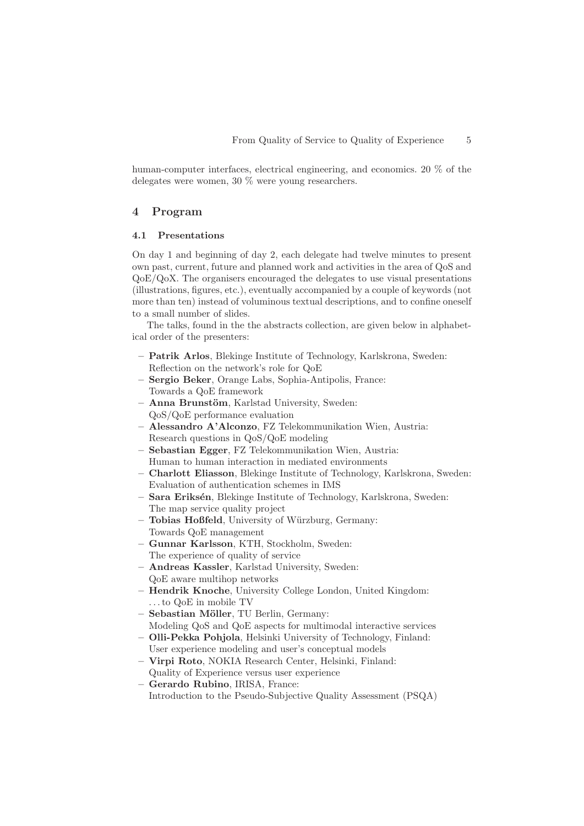human-computer interfaces, electrical engineering, and economics, 20 % of the delegates were women, 30 % were young researchers.

## **4 Program**

#### <span id="page-4-0"></span>**4.1 Presentations**

On day 1 and beginning of day 2, each delegate had twelve minutes to present own past, current, future and planned work and activities in the area of QoS and QoE/QoX. The organisers encouraged the delegates to use visual presentations (illustrations, figures, etc.), eventually accompanied by a couple of keywords (not more than ten) instead of voluminous textual descriptions, and to confine oneself to a small number of slides.

The talks, found in the the abstracts collection, are given below in alphabetical order of the presenters:

- **Patrik Arlos**, Blekinge Institute of Technology, Karlskrona, Sweden: Reflection on the network's role for QoE
- **Sergio Beker**, Orange Labs, Sophia-Antipolis, France: Towards a QoE framework
- **Anna Brunstöm**, Karlstad University, Sweden: QoS/QoE performance evaluation
- **Alessandro A'Alconzo**, FZ Telekommunikation Wien, Austria: Research questions in QoS/QoE modeling
- **Sebastian Egger**, FZ Telekommunikation Wien, Austria: Human to human interaction in mediated environments
- **Charlott Eliasson**, Blekinge Institute of Technology, Karlskrona, Sweden: Evaluation of authentication schemes in IMS
- **Sara Eriks´en**, Blekinge Institute of Technology, Karlskrona, Sweden: The map service quality project
- **Tobias Hoßfeld**, University of W¨urzburg, Germany: Towards QoE management
- **Gunnar Karlsson**, KTH, Stockholm, Sweden: The experience of quality of service
- **Andreas Kassler**, Karlstad University, Sweden: QoE aware multihop networks
- **Hendrik Knoche**, University College London, United Kingdom: . . . to QoE in mobile TV
- **Sebastian M¨oller**, TU Berlin, Germany: Modeling QoS and QoE aspects for multimodal interactive services
- **Olli-Pekka Pohjola**, Helsinki University of Technology, Finland: User experience modeling and user's conceptual models
- **Virpi Roto**, NOKIA Research Center, Helsinki, Finland: Quality of Experience versus user experience
- **Gerardo Rubino**, IRISA, France: Introduction to the Pseudo-Subjective Quality Assessment (PSQA)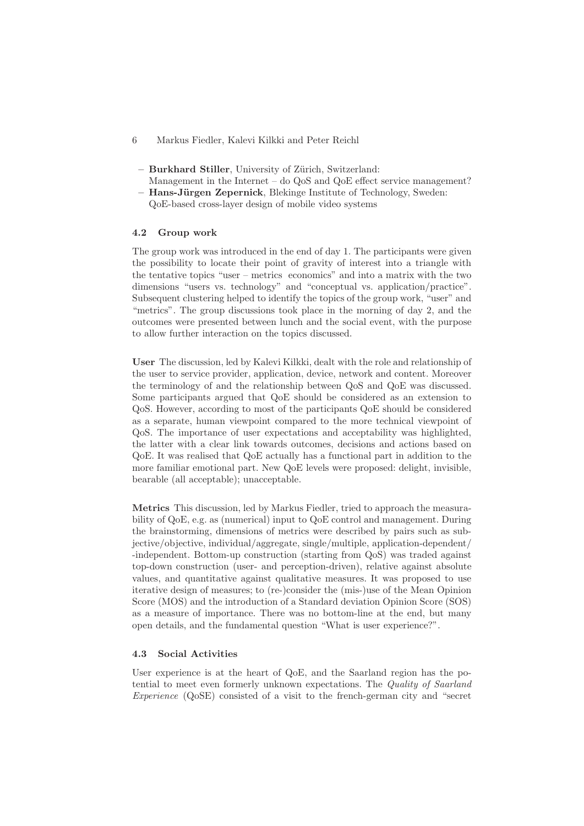- 6 Markus Fiedler, Kalevi Kilkki and Peter Reichl
- **Burkhard Stiller**, University of Z¨urich, Switzerland:
- Management in the Internet do QoS and QoE effect service management? **– Hans-J¨urgen Zepernick**, Blekinge Institute of Technology, Sweden:
- QoE-based cross-layer design of mobile video systems

#### **4.2 Group work**

The group work was introduced in the end of day 1. The participants were given the possibility to locate their point of gravity of interest into a triangle with the tentative topics "user – metrics economics" and into a matrix with the two dimensions "users vs. technology" and "conceptual vs. application/practice". Subsequent clustering helped to identify the topics of the group work, "user" and "metrics". The group discussions took place in the morning of day 2, and the outcomes were presented between lunch and the social event, with the purpose to allow further interaction on the topics discussed.

**User** The discussion, led by Kalevi Kilkki, dealt with the role and relationship of the user to service provider, application, device, network and content. Moreover the terminology of and the relationship between QoS and QoE was discussed. Some participants argued that QoE should be considered as an extension to QoS. However, according to most of the participants QoE should be considered as a separate, human viewpoint compared to the more technical viewpoint of QoS. The importance of user expectations and acceptability was highlighted, the latter with a clear link towards outcomes, decisions and actions based on QoE. It was realised that QoE actually has a functional part in addition to the more familiar emotional part. New QoE levels were proposed: delight, invisible, bearable (all acceptable); unacceptable.

**Metrics** This discussion, led by Markus Fiedler, tried to approach the measurability of QoE, e.g. as (numerical) input to QoE control and management. During the brainstorming, dimensions of metrics were described by pairs such as subjective/objective, individual/aggregate, single/multiple, application-dependent/ -independent. Bottom-up construction (starting from QoS) was traded against top-down construction (user- and perception-driven), relative against absolute values, and quantitative against qualitative measures. It was proposed to use iterative design of measures; to (re-)consider the (mis-)use of the Mean Opinion Score (MOS) and the introduction of a Standard deviation Opinion Score (SOS) as a measure of importance. There was no bottom-line at the end, but many open details, and the fundamental question "What is user experience?".

# **4.3 Social Activities**

User experience is at the heart of QoE, and the Saarland region has the potential to meet even formerly unknown expectations. The *Quality of Saarland Experience* (QoSE) consisted of a visit to the french-german city and "secret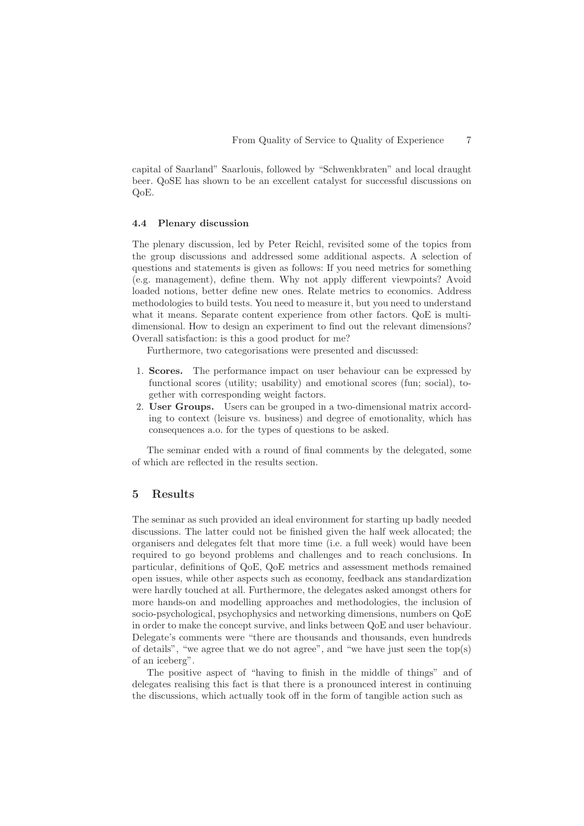capital of Saarland" Saarlouis, followed by "Schwenkbraten" and local draught beer. QoSE has shown to be an excellent catalyst for successful discussions on QoE.

#### **4.4 Plenary discussion**

The plenary discussion, led by Peter Reichl, revisited some of the topics from the group discussions and addressed some additional aspects. A selection of questions and statements is given as follows: If you need metrics for something (e.g. management), define them. Why not apply different viewpoints? Avoid loaded notions, better define new ones. Relate metrics to economics. Address methodologies to build tests. You need to measure it, but you need to understand what it means. Separate content experience from other factors. QoE is multidimensional. How to design an experiment to find out the relevant dimensions? Overall satisfaction: is this a good product for me?

Furthermore, two categorisations were presented and discussed:

- 1. **Scores.** The performance impact on user behaviour can be expressed by functional scores (utility; usability) and emotional scores (fun; social), together with corresponding weight factors.
- 2. **User Groups.** Users can be grouped in a two-dimensional matrix according to context (leisure vs. business) and degree of emotionality, which has consequences a.o. for the types of questions to be asked.

The seminar ended with a round of final comments by the delegated, some of which are reflected in the results section.

#### **5 Results**

The seminar as such provided an ideal environment for starting up badly needed discussions. The latter could not be finished given the half week allocated; the organisers and delegates felt that more time (i.e. a full week) would have been required to go beyond problems and challenges and to reach conclusions. In particular, definitions of QoE, QoE metrics and assessment methods remained open issues, while other aspects such as economy, feedback ans standardization were hardly touched at all. Furthermore, the delegates asked amongst others for more hands-on and modelling approaches and methodologies, the inclusion of socio-psychological, psychophysics and networking dimensions, numbers on QoE in order to make the concept survive, and links between QoE and user behaviour. Delegate's comments were "there are thousands and thousands, even hundreds of details", "we agree that we do not agree", and "we have just seen the top(s) of an iceberg".

The positive aspect of "having to finish in the middle of things" and of delegates realising this fact is that there is a pronounced interest in continuing the discussions, which actually took off in the form of tangible action such as